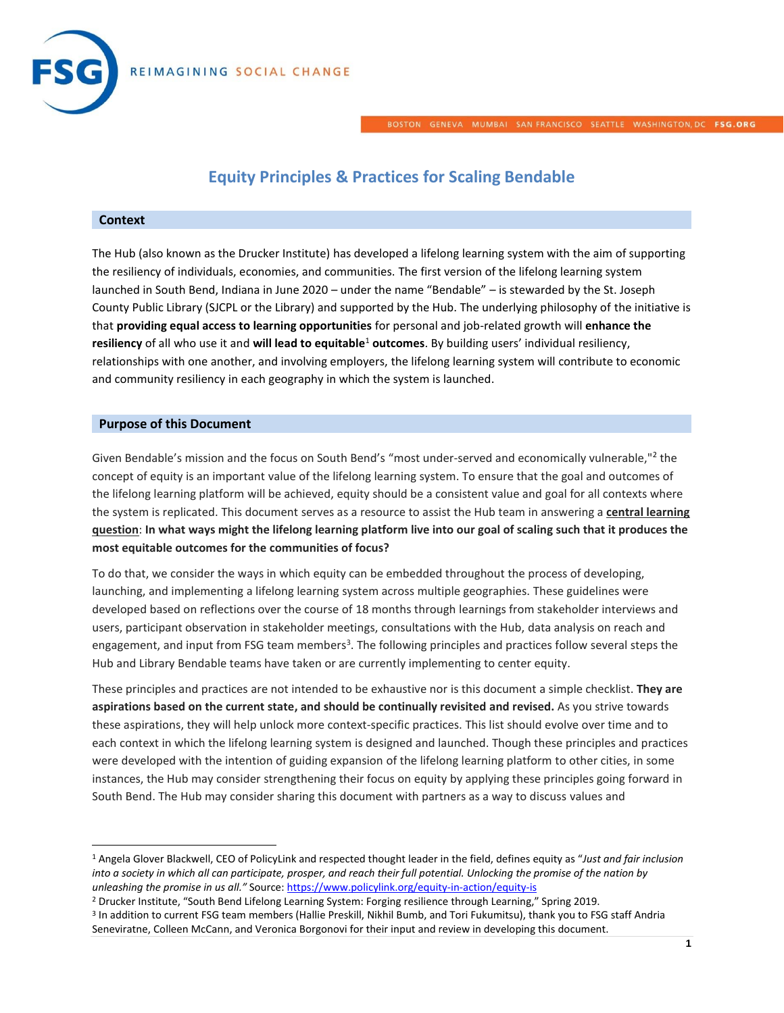

BOSTON GENEVA MUMBAI SAN FRANCISCO SEATTLE WASHINGTON, DC FSG.ORG

# **Equity Principles & Practices for Scaling Bendable**

#### **Context**

 $\overline{\phantom{a}}$ 

The Hub (also known as the Drucker Institute) has developed a lifelong learning system with the aim of supporting the resiliency of individuals, economies, and communities. The first version of the lifelong learning system launched in South Bend, Indiana in June 2020 – under the name "Bendable" – is stewarded by the St. Joseph County Public Library (SJCPL or the Library) and supported by the Hub. The underlying philosophy of the initiative is that **providing equal access to learning opportunities** for personal and job-related growth will **enhance the resiliency** of all who use it and **will lead to equitable**<sup>1</sup> **outcomes**. By building users' individual resiliency, relationships with one another, and involving employers, the lifelong learning system will contribute to economic and community resiliency in each geography in which the system is launched.

## **Purpose of this Document**

Given Bendable's mission and the focus on South Bend's "most under-served and economically vulnerable,"<sup>2</sup> the concept of equity is an important value of the lifelong learning system. To ensure that the goal and outcomes of the lifelong learning platform will be achieved, equity should be a consistent value and goal for all contexts where the system is replicated. This document serves as a resource to assist the Hub team in answering a **central learning question**: **In what ways might the lifelong learning platform live into our goal of scaling such that it produces the most equitable outcomes for the communities of focus?** 

To do that, we consider the ways in which equity can be embedded throughout the process of developing, launching, and implementing a lifelong learning system across multiple geographies. These guidelines were developed based on reflections over the course of 18 months through learnings from stakeholder interviews and users, participant observation in stakeholder meetings, consultations with the Hub, data analysis on reach and engagement, and input from FSG team members<sup>3</sup>. The following principles and practices follow several steps the Hub and Library Bendable teams have taken or are currently implementing to center equity.

These principles and practices are not intended to be exhaustive nor is this document a simple checklist. **They are aspirations based on the current state, and should be continually revisited and revised.** As you strive towards these aspirations, they will help unlock more context-specific practices. This list should evolve over time and to each context in which the lifelong learning system is designed and launched. Though these principles and practices were developed with the intention of guiding expansion of the lifelong learning platform to other cities, in some instances, the Hub may consider strengthening their focus on equity by applying these principles going forward in South Bend. The Hub may consider sharing this document with partners as a way to discuss values and

<sup>1</sup> Angela Glover Blackwell, CEO of PolicyLink and respected thought leader in the field, defines equity as "*Just and fair inclusion into a society in which all can participate, prosper, and reach their full potential. Unlocking the promise of the nation by unleashing the promise in us all."* Source: <https://www.policylink.org/equity-in-action/equity-is>

<sup>2</sup> Drucker Institute, "South Bend Lifelong Learning System: Forging resilience through Learning," Spring 2019.

<sup>3</sup> In addition to current FSG team members (Hallie Preskill, Nikhil Bumb, and Tori Fukumitsu), thank you to FSG staff Andria Seneviratne, Colleen McCann, and Veronica Borgonovi for their input and review in developing this document.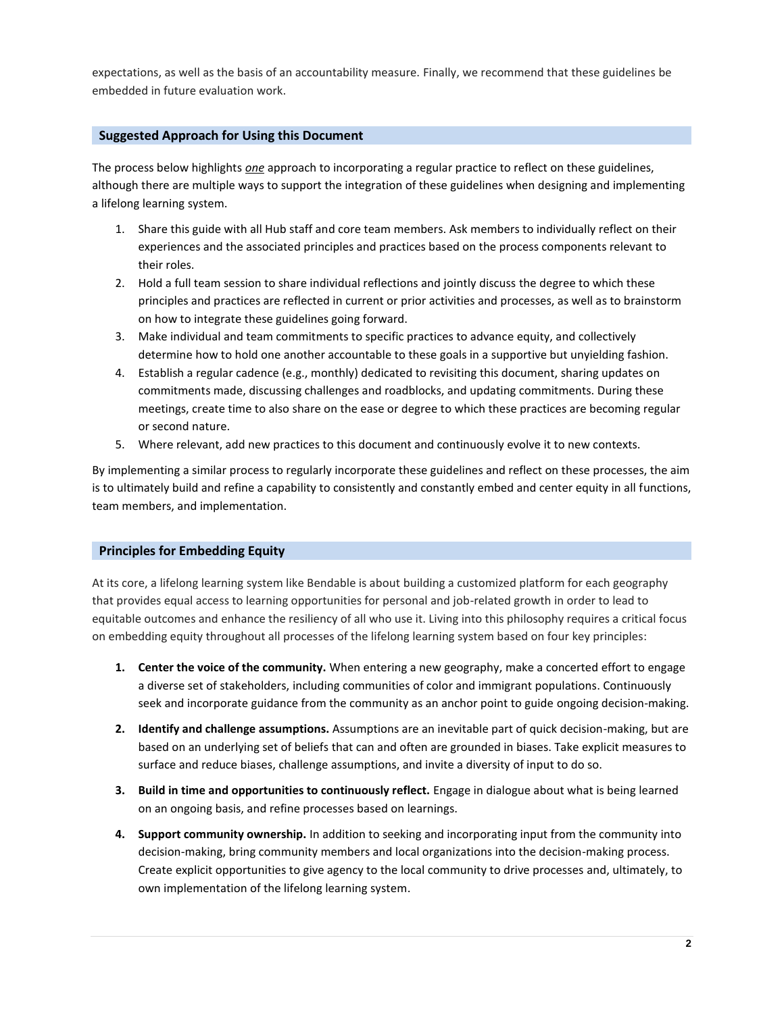expectations, as well as the basis of an accountability measure. Finally, we recommend that these guidelines be embedded in future evaluation work.

## **Suggested Approach for Using this Document**

The process below highlights *one* approach to incorporating a regular practice to reflect on these guidelines, although there are multiple ways to support the integration of these guidelines when designing and implementing a lifelong learning system.

- 1. Share this guide with all Hub staff and core team members. Ask members to individually reflect on their experiences and the associated principles and practices based on the process components relevant to their roles.
- 2. Hold a full team session to share individual reflections and jointly discuss the degree to which these principles and practices are reflected in current or prior activities and processes, as well as to brainstorm on how to integrate these guidelines going forward.
- 3. Make individual and team commitments to specific practices to advance equity, and collectively determine how to hold one another accountable to these goals in a supportive but unyielding fashion.
- 4. Establish a regular cadence (e.g., monthly) dedicated to revisiting this document, sharing updates on commitments made, discussing challenges and roadblocks, and updating commitments. During these meetings, create time to also share on the ease or degree to which these practices are becoming regular or second nature.
- 5. Where relevant, add new practices to this document and continuously evolve it to new contexts.

By implementing a similar process to regularly incorporate these guidelines and reflect on these processes, the aim is to ultimately build and refine a capability to consistently and constantly embed and center equity in all functions, team members, and implementation.

## **Principles for Embedding Equity**

At its core, a lifelong learning system like Bendable is about building a customized platform for each geography that provides equal access to learning opportunities for personal and job-related growth in order to lead to equitable outcomes and enhance the resiliency of all who use it. Living into this philosophy requires a critical focus on embedding equity throughout all processes of the lifelong learning system based on four key principles:

- **1. Center the voice of the community.** When entering a new geography, make a concerted effort to engage a diverse set of stakeholders, including communities of color and immigrant populations. Continuously seek and incorporate guidance from the community as an anchor point to guide ongoing decision-making.
- **2. Identify and challenge assumptions.** Assumptions are an inevitable part of quick decision-making, but are based on an underlying set of beliefs that can and often are grounded in biases. Take explicit measures to surface and reduce biases, challenge assumptions, and invite a diversity of input to do so.
- **3. Build in time and opportunities to continuously reflect.** Engage in dialogue about what is being learned on an ongoing basis, and refine processes based on learnings.
- **4. Support community ownership.** In addition to seeking and incorporating input from the community into decision-making, bring community members and local organizations into the decision-making process. Create explicit opportunities to give agency to the local community to drive processes and, ultimately, to own implementation of the lifelong learning system.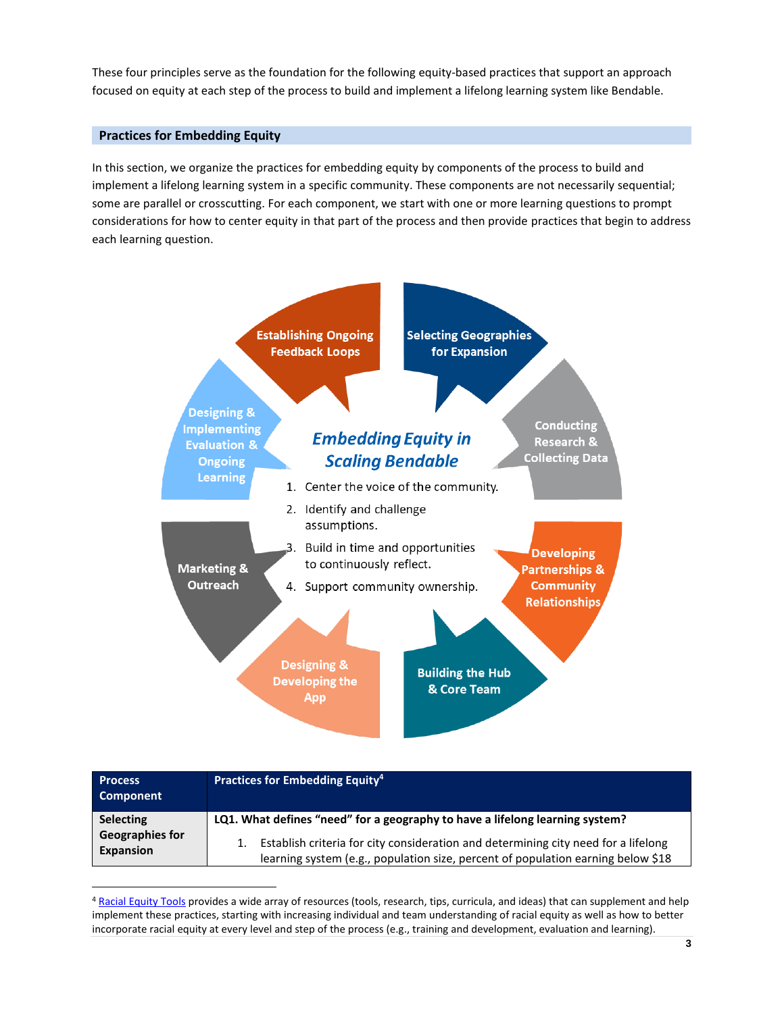These four principles serve as the foundation for the following equity-based practices that support an approach focused on equity at each step of the process to build and implement a lifelong learning system like Bendable.

## **Practices for Embedding Equity**

l

In this section, we organize the practices for embedding equity by components of the process to build and implement a lifelong learning system in a specific community. These components are not necessarily sequential; some are parallel or crosscutting. For each component, we start with one or more learning questions to prompt considerations for how to center equity in that part of the process and then provide practices that begin to address each learning question.



| <b>Process</b><br><b>Component</b>  | Practices for Embedding Equity <sup>4</sup>                                                                                                                            |
|-------------------------------------|------------------------------------------------------------------------------------------------------------------------------------------------------------------------|
| <b>Selecting</b>                    | LQ1. What defines "need" for a geography to have a lifelong learning system?                                                                                           |
| <b>Geographies for</b><br>Expansion | Establish criteria for city consideration and determining city need for a lifelong<br>learning system (e.g., population size, percent of population earning below \$18 |

<sup>4</sup> [Racial Equity Tools](http://www.racialequitytools.org/) provides a wide array of resources (tools, research, tips, curricula, and ideas) that can supplement and help implement these practices, starting with increasing individual and team understanding of racial equity as well as how to better incorporate racial equity at every level and step of the process (e.g., training and development, evaluation and learning).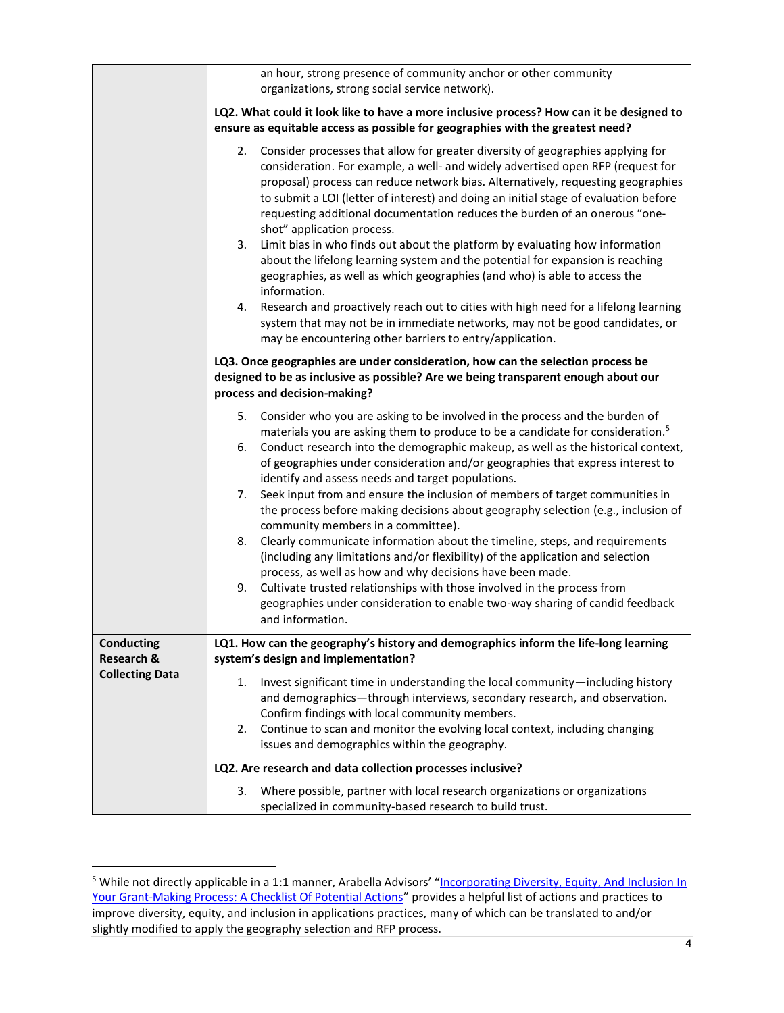|                                            | an hour, strong presence of community anchor or other community<br>organizations, strong social service network).                                                                                                                                                                                                                                                                                                                                                                                                                                                                                                                                                                                                                                                                                                                                                                                               |
|--------------------------------------------|-----------------------------------------------------------------------------------------------------------------------------------------------------------------------------------------------------------------------------------------------------------------------------------------------------------------------------------------------------------------------------------------------------------------------------------------------------------------------------------------------------------------------------------------------------------------------------------------------------------------------------------------------------------------------------------------------------------------------------------------------------------------------------------------------------------------------------------------------------------------------------------------------------------------|
|                                            | LQ2. What could it look like to have a more inclusive process? How can it be designed to<br>ensure as equitable access as possible for geographies with the greatest need?                                                                                                                                                                                                                                                                                                                                                                                                                                                                                                                                                                                                                                                                                                                                      |
|                                            | 2. Consider processes that allow for greater diversity of geographies applying for<br>consideration. For example, a well- and widely advertised open RFP (request for<br>proposal) process can reduce network bias. Alternatively, requesting geographies<br>to submit a LOI (letter of interest) and doing an initial stage of evaluation before<br>requesting additional documentation reduces the burden of an onerous "one-<br>shot" application process.<br>3.<br>Limit bias in who finds out about the platform by evaluating how information<br>about the lifelong learning system and the potential for expansion is reaching<br>geographies, as well as which geographies (and who) is able to access the<br>information.<br>Research and proactively reach out to cities with high need for a lifelong learning<br>4.<br>system that may not be in immediate networks, may not be good candidates, or |
|                                            | may be encountering other barriers to entry/application.                                                                                                                                                                                                                                                                                                                                                                                                                                                                                                                                                                                                                                                                                                                                                                                                                                                        |
|                                            | LQ3. Once geographies are under consideration, how can the selection process be<br>designed to be as inclusive as possible? Are we being transparent enough about our<br>process and decision-making?                                                                                                                                                                                                                                                                                                                                                                                                                                                                                                                                                                                                                                                                                                           |
|                                            | 5.<br>Consider who you are asking to be involved in the process and the burden of                                                                                                                                                                                                                                                                                                                                                                                                                                                                                                                                                                                                                                                                                                                                                                                                                               |
|                                            | materials you are asking them to produce to be a candidate for consideration. <sup>5</sup><br>Conduct research into the demographic makeup, as well as the historical context,<br>6.<br>of geographies under consideration and/or geographies that express interest to<br>identify and assess needs and target populations.                                                                                                                                                                                                                                                                                                                                                                                                                                                                                                                                                                                     |
|                                            | Seek input from and ensure the inclusion of members of target communities in<br>7.<br>the process before making decisions about geography selection (e.g., inclusion of<br>community members in a committee).                                                                                                                                                                                                                                                                                                                                                                                                                                                                                                                                                                                                                                                                                                   |
|                                            | Clearly communicate information about the timeline, steps, and requirements<br>8.<br>(including any limitations and/or flexibility) of the application and selection<br>process, as well as how and why decisions have been made.                                                                                                                                                                                                                                                                                                                                                                                                                                                                                                                                                                                                                                                                               |
|                                            | Cultivate trusted relationships with those involved in the process from<br>9.<br>geographies under consideration to enable two-way sharing of candid feedback<br>and information.                                                                                                                                                                                                                                                                                                                                                                                                                                                                                                                                                                                                                                                                                                                               |
| <b>Conducting</b><br><b>Research &amp;</b> | LQ1. How can the geography's history and demographics inform the life-long learning<br>system's design and implementation?                                                                                                                                                                                                                                                                                                                                                                                                                                                                                                                                                                                                                                                                                                                                                                                      |
| <b>Collecting Data</b>                     | Invest significant time in understanding the local community-including history<br>1.<br>and demographics-through interviews, secondary research, and observation.<br>Confirm findings with local community members.<br>Continue to scan and monitor the evolving local context, including changing<br>2.<br>issues and demographics within the geography.                                                                                                                                                                                                                                                                                                                                                                                                                                                                                                                                                       |
|                                            | LQ2. Are research and data collection processes inclusive?                                                                                                                                                                                                                                                                                                                                                                                                                                                                                                                                                                                                                                                                                                                                                                                                                                                      |
|                                            | Where possible, partner with local research organizations or organizations<br>3.<br>specialized in community-based research to build trust.                                                                                                                                                                                                                                                                                                                                                                                                                                                                                                                                                                                                                                                                                                                                                                     |

 $\overline{a}$ 

<sup>&</sup>lt;sup>5</sup> While not directly applicable in a 1:1 manner, Arabella Advisors' "<u>Incorporating Diversity, Equity, And Inclusion In</u> [Your Grant-Making Process: A Checklist Of Potential Actions](http://www.equityinphilanthropy.org/2016/10/04/dei-grantmaking-checklist/)" provides a helpful list of actions and practices to improve diversity, equity, and inclusion in applications practices, many of which can be translated to and/or slightly modified to apply the geography selection and RFP process.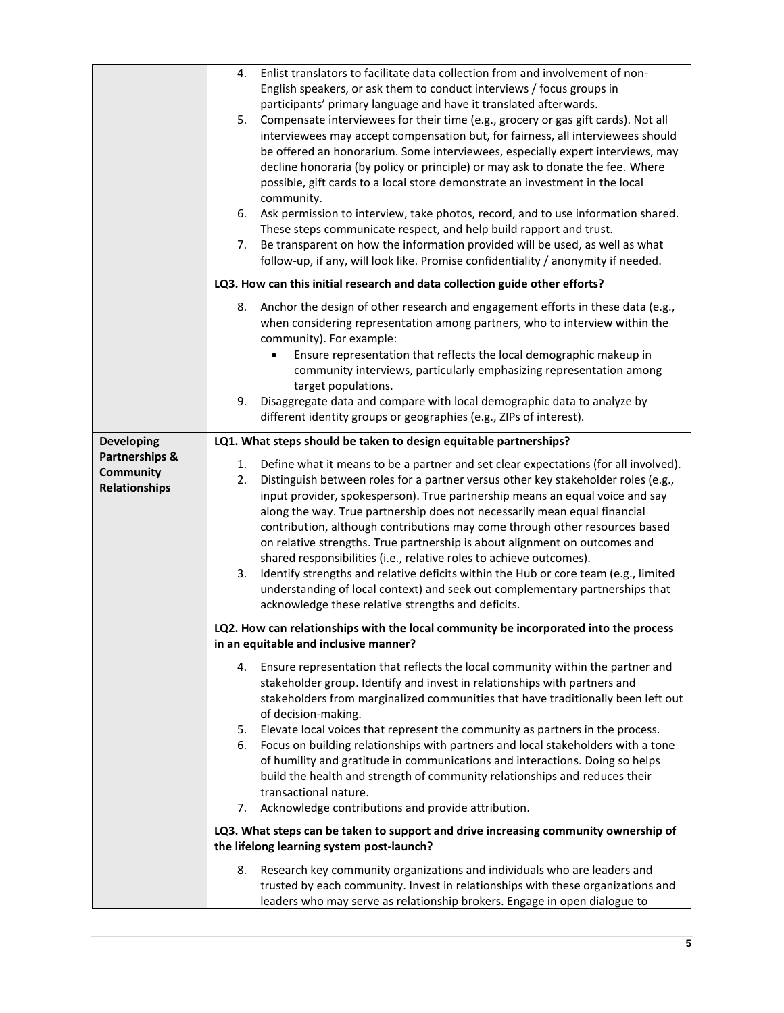|                                                                          | Enlist translators to facilitate data collection from and involvement of non-<br>4.<br>English speakers, or ask them to conduct interviews / focus groups in<br>participants' primary language and have it translated afterwards.<br>Compensate interviewees for their time (e.g., grocery or gas gift cards). Not all<br>5.<br>interviewees may accept compensation but, for fairness, all interviewees should<br>be offered an honorarium. Some interviewees, especially expert interviews, may<br>decline honoraria (by policy or principle) or may ask to donate the fee. Where<br>possible, gift cards to a local store demonstrate an investment in the local<br>community.<br>Ask permission to interview, take photos, record, and to use information shared.<br>6.<br>These steps communicate respect, and help build rapport and trust.<br>Be transparent on how the information provided will be used, as well as what<br>7.<br>follow-up, if any, will look like. Promise confidentiality / anonymity if needed. |
|--------------------------------------------------------------------------|------------------------------------------------------------------------------------------------------------------------------------------------------------------------------------------------------------------------------------------------------------------------------------------------------------------------------------------------------------------------------------------------------------------------------------------------------------------------------------------------------------------------------------------------------------------------------------------------------------------------------------------------------------------------------------------------------------------------------------------------------------------------------------------------------------------------------------------------------------------------------------------------------------------------------------------------------------------------------------------------------------------------------|
|                                                                          | LQ3. How can this initial research and data collection guide other efforts?                                                                                                                                                                                                                                                                                                                                                                                                                                                                                                                                                                                                                                                                                                                                                                                                                                                                                                                                                  |
|                                                                          | Anchor the design of other research and engagement efforts in these data (e.g.,<br>8.<br>when considering representation among partners, who to interview within the<br>community). For example:<br>Ensure representation that reflects the local demographic makeup in<br>$\bullet$<br>community interviews, particularly emphasizing representation among<br>target populations.<br>Disaggregate data and compare with local demographic data to analyze by<br>9.                                                                                                                                                                                                                                                                                                                                                                                                                                                                                                                                                          |
|                                                                          | different identity groups or geographies (e.g., ZIPs of interest).                                                                                                                                                                                                                                                                                                                                                                                                                                                                                                                                                                                                                                                                                                                                                                                                                                                                                                                                                           |
| <b>Developing</b><br>Partnerships &<br>Community<br><b>Relationships</b> | LQ1. What steps should be taken to design equitable partnerships?<br>1.<br>Define what it means to be a partner and set clear expectations (for all involved).<br>Distinguish between roles for a partner versus other key stakeholder roles (e.g.,<br>2.<br>input provider, spokesperson). True partnership means an equal voice and say<br>along the way. True partnership does not necessarily mean equal financial<br>contribution, although contributions may come through other resources based<br>on relative strengths. True partnership is about alignment on outcomes and<br>shared responsibilities (i.e., relative roles to achieve outcomes).<br>3.<br>Identify strengths and relative deficits within the Hub or core team (e.g., limited<br>understanding of local context) and seek out complementary partnerships that<br>acknowledge these relative strengths and deficits.                                                                                                                                |
|                                                                          | LQ2. How can relationships with the local community be incorporated into the process                                                                                                                                                                                                                                                                                                                                                                                                                                                                                                                                                                                                                                                                                                                                                                                                                                                                                                                                         |
|                                                                          | in an equitable and inclusive manner?                                                                                                                                                                                                                                                                                                                                                                                                                                                                                                                                                                                                                                                                                                                                                                                                                                                                                                                                                                                        |
|                                                                          | 4. Ensure representation that reflects the local community within the partner and<br>stakeholder group. Identify and invest in relationships with partners and<br>stakeholders from marginalized communities that have traditionally been left out<br>of decision-making.<br>Elevate local voices that represent the community as partners in the process.<br>5.                                                                                                                                                                                                                                                                                                                                                                                                                                                                                                                                                                                                                                                             |
|                                                                          | Focus on building relationships with partners and local stakeholders with a tone<br>6.<br>of humility and gratitude in communications and interactions. Doing so helps<br>build the health and strength of community relationships and reduces their<br>transactional nature.<br>Acknowledge contributions and provide attribution.<br>7.                                                                                                                                                                                                                                                                                                                                                                                                                                                                                                                                                                                                                                                                                    |
|                                                                          | LQ3. What steps can be taken to support and drive increasing community ownership of                                                                                                                                                                                                                                                                                                                                                                                                                                                                                                                                                                                                                                                                                                                                                                                                                                                                                                                                          |
|                                                                          | the lifelong learning system post-launch?                                                                                                                                                                                                                                                                                                                                                                                                                                                                                                                                                                                                                                                                                                                                                                                                                                                                                                                                                                                    |
|                                                                          | 8.<br>Research key community organizations and individuals who are leaders and<br>trusted by each community. Invest in relationships with these organizations and<br>leaders who may serve as relationship brokers. Engage in open dialogue to                                                                                                                                                                                                                                                                                                                                                                                                                                                                                                                                                                                                                                                                                                                                                                               |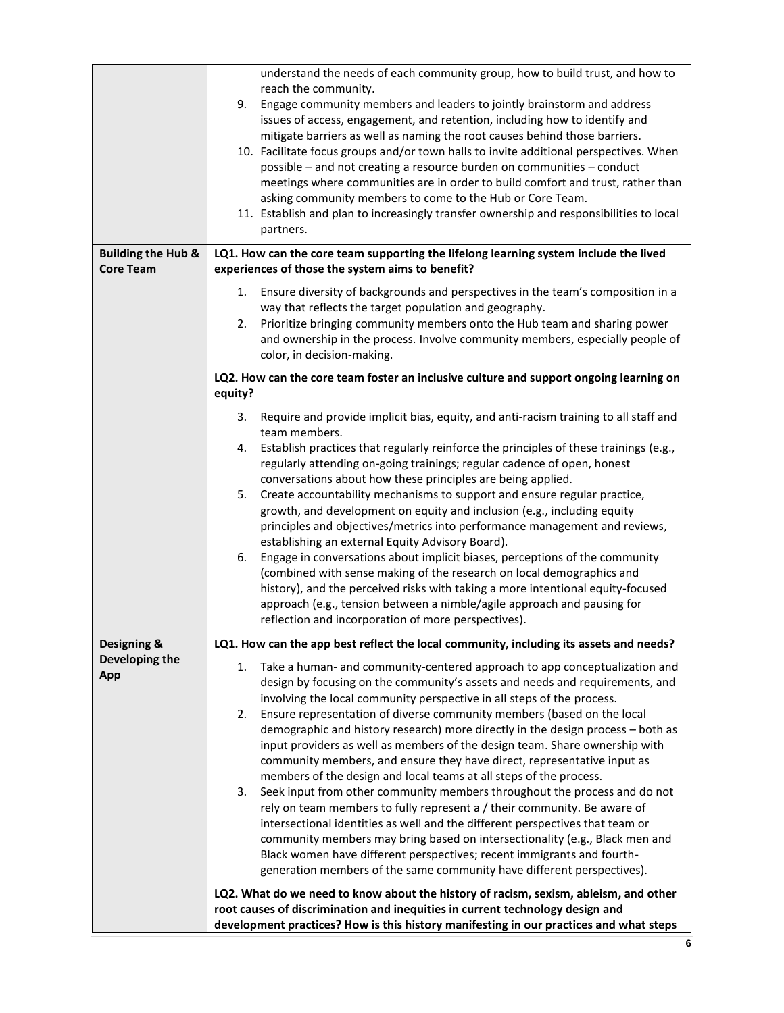|                               | understand the needs of each community group, how to build trust, and how to                |
|-------------------------------|---------------------------------------------------------------------------------------------|
|                               | reach the community.                                                                        |
|                               | 9.<br>Engage community members and leaders to jointly brainstorm and address                |
|                               | issues of access, engagement, and retention, including how to identify and                  |
|                               | mitigate barriers as well as naming the root causes behind those barriers.                  |
|                               | 10. Facilitate focus groups and/or town halls to invite additional perspectives. When       |
|                               | possible - and not creating a resource burden on communities - conduct                      |
|                               | meetings where communities are in order to build comfort and trust, rather than             |
|                               | asking community members to come to the Hub or Core Team.                                   |
|                               | 11. Establish and plan to increasingly transfer ownership and responsibilities to local     |
|                               | partners.                                                                                   |
| <b>Building the Hub &amp;</b> | LQ1. How can the core team supporting the lifelong learning system include the lived        |
| <b>Core Team</b>              | experiences of those the system aims to benefit?                                            |
|                               |                                                                                             |
|                               | 1. Ensure diversity of backgrounds and perspectives in the team's composition in a          |
|                               | way that reflects the target population and geography.                                      |
|                               | 2. Prioritize bringing community members onto the Hub team and sharing power                |
|                               | and ownership in the process. Involve community members, especially people of               |
|                               | color, in decision-making.                                                                  |
|                               | LQ2. How can the core team foster an inclusive culture and support ongoing learning on      |
|                               | equity?                                                                                     |
|                               | Require and provide implicit bias, equity, and anti-racism training to all staff and<br>3.  |
|                               | team members.                                                                               |
|                               | Establish practices that regularly reinforce the principles of these trainings (e.g.,<br>4. |
|                               | regularly attending on-going trainings; regular cadence of open, honest                     |
|                               | conversations about how these principles are being applied.                                 |
|                               | Create accountability mechanisms to support and ensure regular practice,<br>5.              |
|                               | growth, and development on equity and inclusion (e.g., including equity                     |
|                               | principles and objectives/metrics into performance management and reviews,                  |
|                               | establishing an external Equity Advisory Board).                                            |
|                               | Engage in conversations about implicit biases, perceptions of the community<br>6.           |
|                               | (combined with sense making of the research on local demographics and                       |
|                               | history), and the perceived risks with taking a more intentional equity-focused             |
|                               | approach (e.g., tension between a nimble/agile approach and pausing for                     |
|                               | reflection and incorporation of more perspectives).                                         |
|                               |                                                                                             |
| Designing &                   | LQ1. How can the app best reflect the local community, including its assets and needs?      |
| Developing the                | Take a human- and community-centered approach to app conceptualization and<br>1.            |
| App                           | design by focusing on the community's assets and needs and requirements, and                |
|                               | involving the local community perspective in all steps of the process.                      |
|                               | Ensure representation of diverse community members (based on the local<br>2.                |
|                               | demographic and history research) more directly in the design process - both as             |
|                               | input providers as well as members of the design team. Share ownership with                 |
|                               | community members, and ensure they have direct, representative input as                     |
|                               | members of the design and local teams at all steps of the process.                          |
|                               | 3.<br>Seek input from other community members throughout the process and do not             |
|                               | rely on team members to fully represent a / their community. Be aware of                    |
|                               | intersectional identities as well and the different perspectives that team or               |
|                               | community members may bring based on intersectionality (e.g., Black men and                 |
|                               | Black women have different perspectives; recent immigrants and fourth-                      |
|                               | generation members of the same community have different perspectives).                      |
|                               | LQ2. What do we need to know about the history of racism, sexism, ableism, and other        |
|                               | root causes of discrimination and inequities in current technology design and               |
|                               | development practices? How is this history manifesting in our practices and what steps      |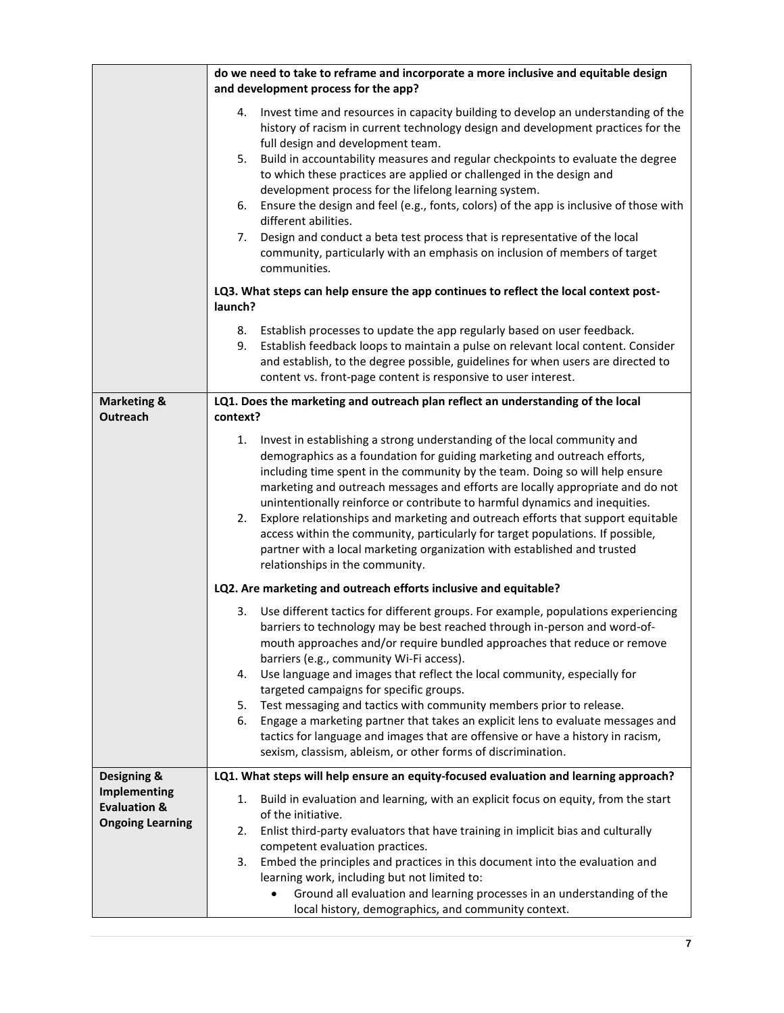|                                                | do we need to take to reframe and incorporate a more inclusive and equitable design                                                                                                                                                                                                                                                                                                                                                                                                                                                                                                                                                                                                                                                                  |
|------------------------------------------------|------------------------------------------------------------------------------------------------------------------------------------------------------------------------------------------------------------------------------------------------------------------------------------------------------------------------------------------------------------------------------------------------------------------------------------------------------------------------------------------------------------------------------------------------------------------------------------------------------------------------------------------------------------------------------------------------------------------------------------------------------|
|                                                | and development process for the app?                                                                                                                                                                                                                                                                                                                                                                                                                                                                                                                                                                                                                                                                                                                 |
|                                                | Invest time and resources in capacity building to develop an understanding of the<br>4.<br>history of racism in current technology design and development practices for the<br>full design and development team.<br>Build in accountability measures and regular checkpoints to evaluate the degree<br>5.<br>to which these practices are applied or challenged in the design and<br>development process for the lifelong learning system.<br>Ensure the design and feel (e.g., fonts, colors) of the app is inclusive of those with<br>6.<br>different abilities.<br>Design and conduct a beta test process that is representative of the local<br>7.<br>community, particularly with an emphasis on inclusion of members of target<br>communities. |
|                                                | LQ3. What steps can help ensure the app continues to reflect the local context post-<br>launch?                                                                                                                                                                                                                                                                                                                                                                                                                                                                                                                                                                                                                                                      |
|                                                | Establish processes to update the app regularly based on user feedback.<br>8.<br>Establish feedback loops to maintain a pulse on relevant local content. Consider<br>9.<br>and establish, to the degree possible, guidelines for when users are directed to<br>content vs. front-page content is responsive to user interest.                                                                                                                                                                                                                                                                                                                                                                                                                        |
| <b>Marketing &amp;</b><br><b>Outreach</b>      | LQ1. Does the marketing and outreach plan reflect an understanding of the local<br>context?                                                                                                                                                                                                                                                                                                                                                                                                                                                                                                                                                                                                                                                          |
|                                                | Invest in establishing a strong understanding of the local community and<br>1.<br>demographics as a foundation for guiding marketing and outreach efforts,<br>including time spent in the community by the team. Doing so will help ensure<br>marketing and outreach messages and efforts are locally appropriate and do not<br>unintentionally reinforce or contribute to harmful dynamics and inequities.<br>Explore relationships and marketing and outreach efforts that support equitable<br>2.<br>access within the community, particularly for target populations. If possible,<br>partner with a local marketing organization with established and trusted<br>relationships in the community.                                                |
|                                                | LQ2. Are marketing and outreach efforts inclusive and equitable?                                                                                                                                                                                                                                                                                                                                                                                                                                                                                                                                                                                                                                                                                     |
|                                                | Use different tactics for different groups. For example, populations experiencing<br>3.<br>barriers to technology may be best reached through in-person and word-of-<br>mouth approaches and/or require bundled approaches that reduce or remove<br>barriers (e.g., community Wi-Fi access).<br>Use language and images that reflect the local community, especially for<br>4.<br>targeted campaigns for specific groups.                                                                                                                                                                                                                                                                                                                            |
|                                                | Test messaging and tactics with community members prior to release.<br>5.                                                                                                                                                                                                                                                                                                                                                                                                                                                                                                                                                                                                                                                                            |
|                                                | Engage a marketing partner that takes an explicit lens to evaluate messages and<br>6.<br>tactics for language and images that are offensive or have a history in racism,<br>sexism, classism, ableism, or other forms of discrimination.                                                                                                                                                                                                                                                                                                                                                                                                                                                                                                             |
| Designing &                                    | LQ1. What steps will help ensure an equity-focused evaluation and learning approach?                                                                                                                                                                                                                                                                                                                                                                                                                                                                                                                                                                                                                                                                 |
| <b>Implementing</b><br><b>Evaluation &amp;</b> | Build in evaluation and learning, with an explicit focus on equity, from the start<br>1.                                                                                                                                                                                                                                                                                                                                                                                                                                                                                                                                                                                                                                                             |
| <b>Ongoing Learning</b>                        | of the initiative.<br>Enlist third-party evaluators that have training in implicit bias and culturally<br>2.                                                                                                                                                                                                                                                                                                                                                                                                                                                                                                                                                                                                                                         |
|                                                | competent evaluation practices.                                                                                                                                                                                                                                                                                                                                                                                                                                                                                                                                                                                                                                                                                                                      |
|                                                | Embed the principles and practices in this document into the evaluation and<br>3.                                                                                                                                                                                                                                                                                                                                                                                                                                                                                                                                                                                                                                                                    |
|                                                | learning work, including but not limited to:<br>Ground all evaluation and learning processes in an understanding of the<br>$\bullet$                                                                                                                                                                                                                                                                                                                                                                                                                                                                                                                                                                                                                 |
|                                                | local history, demographics, and community context.                                                                                                                                                                                                                                                                                                                                                                                                                                                                                                                                                                                                                                                                                                  |